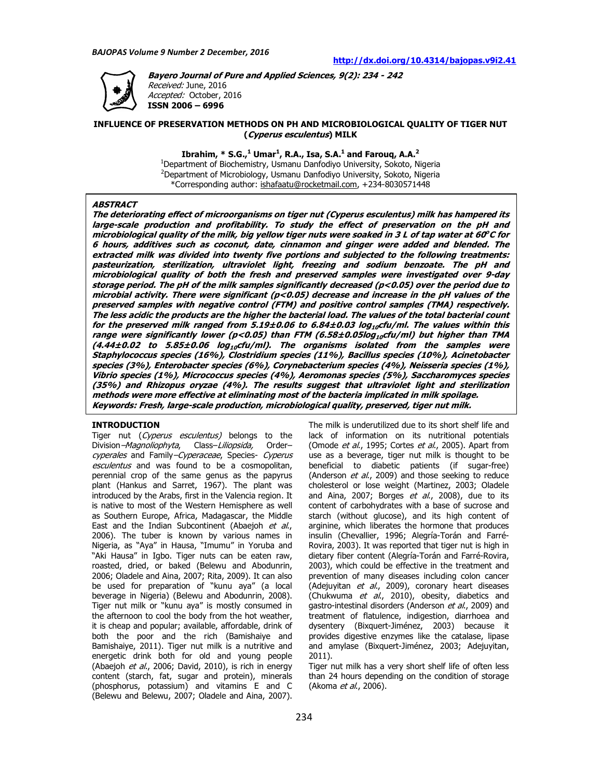

**Bayero Journal of Pure and Applied Sciences, 9(2): 234 - 242**  Received: June, 2016 Accepted: October, 2016 **ISSN 2006 – 6996** 

## **INFLUENCE OF PRESERVATION METHODS ON PH AND MICROBIOLOGICAL QUALITY OF TIGER NUT (Cyperus esculentus) MILK**

**Ibrahim, \* S.G.,<sup>1</sup> Umar<sup>1</sup> , R.A., Isa, S.A.<sup>1</sup> and Farouq, A.A.<sup>2</sup>**

<sup>1</sup>Department of Biochemistry, Usmanu Danfodiyo University, Sokoto, Nigeria <sup>2</sup>Department of Microbiology, Usmanu Danfodiyo University, Sokoto, Nigeria \*Corresponding author: ishafaatu@rocketmail.com, +234-8030571448

#### **ABSTRACT**

**The deteriorating effect of microorganisms on tiger nut (Cyperus esculentus) milk has hampered its large-scale production and profitability. To study the effect of preservation on the pH and microbiological quality of the milk, big yellow tiger nuts were soaked in 3 L of tap water at 60 <sup>o</sup>C for 6 hours, additives such as coconut, date, cinnamon and ginger were added and blended. The extracted milk was divided into twenty five portions and subjected to the following treatments: pasteurization, sterilization, ultraviolet light, freezing and sodium benzoate. The pH and microbiological quality of both the fresh and preserved samples were investigated over 9-day storage period. The pH of the milk samples significantly decreased (p<0.05) over the period due to microbial activity. There were significant (p<0.05) decrease and increase in the pH values of the preserved samples with negative control (FTM) and positive control samples (TMA) respectively. The less acidic the products are the higher the bacterial load. The values of the total bacterial count for the preserved milk ranged from 5.19±0.06 to 6.84±0.03 log10cfu/ml. The values within this range were significantly lower (p<0.05) than FTM (6.58±0.05log10cfu/ml) but higher than TMA (4.44±0.02 to 5.85±0.06 log10cfu/ml). The organisms isolated from the samples were Staphylococcus species (16%), Clostridium species (11%), Bacillus species (10%), Acinetobacter species (3%), Enterobacter species (6%), Corynebacterium species (4%), Neisseria species (1%), Vibrio species (1%), Micrococcus species (4%), Aeromonas species (5%), Saccharomyces species (35%) and Rhizopus oryzae (4%). The results suggest that ultraviolet light and sterilization methods were more effective at eliminating most of the bacteria implicated in milk spoilage. Keywords: Fresh, large-scale production, microbiological quality, preserved, tiger nut milk.** 

#### **INTRODUCTION**

Tiger nut (Cyperus esculentus) belongs to the Division–Magnoliophyta, Class–Liliopsida, Order– cyperales and Family–Cyperaceae, Species- Cyperus esculentus and was found to be a cosmopolitan, perennial crop of the same genus as the papyrus plant (Hankus and Sarret, 1967). The plant was introduced by the Arabs, first in the Valencia region. It is native to most of the Western Hemisphere as well as Southern Europe, Africa, Madagascar, the Middle East and the Indian Subcontinent (Abaejoh et al., 2006). The tuber is known by various names in Nigeria, as "Aya" in Hausa, "Imumu" in Yoruba and "Aki Hausa" in Igbo. Tiger nuts can be eaten raw, roasted, dried, or baked (Belewu and Abodunrin, 2006; Oladele and Aina, 2007; Rita, 2009). It can also be used for preparation of "kunu aya" (a local beverage in Nigeria) (Belewu and Abodunrin, 2008). Tiger nut milk or "kunu aya" is mostly consumed in the afternoon to cool the body from the hot weather, it is cheap and popular; available, affordable, drink of both the poor and the rich (Bamishaiye and Bamishaiye, 2011). Tiger nut milk is a nutritive and energetic drink both for old and young people (Abaejoh  $et$  al., 2006; David, 2010), is rich in energy content (starch, fat, sugar and protein), minerals (phosphorus, potassium) and vitamins E and C (Belewu and Belewu, 2007; Oladele and Aina, 2007).

The milk is underutilized due to its short shelf life and lack of information on its nutritional potentials (Omode *et al.*, 1995; Cortes *et al.*, 2005). Apart from use as a beverage, tiger nut milk is thought to be beneficial to diabetic patients (if sugar-free) (Anderson et al., 2009) and those seeking to reduce cholesterol or lose weight (Martinez, 2003; Oladele and Aina, 2007; Borges  $et$  al., 2008), due to its content of carbohydrates with a base of sucrose and starch (without glucose), and its high content of arginine, which liberates the hormone that produces insulin (Chevallier, 1996; Alegría-Torán and Farré-Rovira, 2003). It was reported that tiger nut is high in dietary fiber content (Alegría-Torán and Farré-Rovira, 2003), which could be effective in the treatment and prevention of many diseases including colon cancer (Adejuyitan et al., 2009), coronary heart diseases (Chukwuma et  $a$ l., 2010), obesity, diabetics and gastro-intestinal disorders (Anderson et al., 2009) and treatment of flatulence, indigestion, diarrhoea and dysentery (Bixquert-Jiménez, 2003) because it provides digestive enzymes like the catalase, lipase and amylase (Bixquert-Jiménez, 2003; Adejuyitan, 2011).

Tiger nut milk has a very short shelf life of often less than 24 hours depending on the condition of storage (Akoma et al., 2006).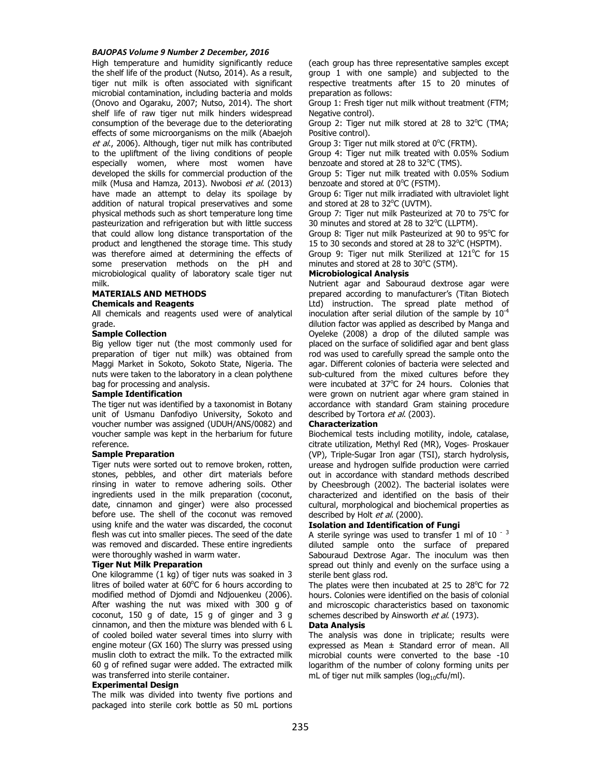High temperature and humidity significantly reduce the shelf life of the product (Nutso, 2014). As a result, tiger nut milk is often associated with significant microbial contamination, including bacteria and molds (Onovo and Ogaraku, 2007; Nutso, 2014). The short shelf life of raw tiger nut milk hinders widespread consumption of the beverage due to the deteriorating effects of some microorganisms on the milk (Abaejoh et al., 2006). Although, tiger nut milk has contributed to the upliftment of the living conditions of people especially women, where most women have developed the skills for commercial production of the milk (Musa and Hamza, 2013). Nwobosi et al. (2013) have made an attempt to delay its spoilage by addition of natural tropical preservatives and some physical methods such as short temperature long time pasteurization and refrigeration but with little success that could allow long distance transportation of the product and lengthened the storage time. This study was therefore aimed at determining the effects of some preservation methods on the pH and microbiological quality of laboratory scale tiger nut milk.

## **MATERIALS AND METHODS Chemicals and Reagents**

All chemicals and reagents used were of analytical grade.

#### **Sample Collection**

Big yellow tiger nut (the most commonly used for preparation of tiger nut milk) was obtained from Maggi Market in Sokoto, Sokoto State, Nigeria. The nuts were taken to the laboratory in a clean polythene bag for processing and analysis.

#### **Sample Identification**

The tiger nut was identified by a taxonomist in Botany unit of Usmanu Danfodiyo University, Sokoto and voucher number was assigned (UDUH/ANS/0082) and voucher sample was kept in the herbarium for future reference.

## **Sample Preparation**

Tiger nuts were sorted out to remove broken, rotten, stones, pebbles, and other dirt materials before rinsing in water to remove adhering soils. Other ingredients used in the milk preparation (coconut, date, cinnamon and ginger) were also processed before use. The shell of the coconut was removed using knife and the water was discarded, the coconut flesh was cut into smaller pieces. The seed of the date was removed and discarded. These entire ingredients were thoroughly washed in warm water.

## **Tiger Nut Milk Preparation**

One kilogramme (1 kg) of tiger nuts was soaked in 3 litres of boiled water at  $60^{\circ}$ C for 6 hours according to modified method of Djomdi and Ndjouenkeu (2006). After washing the nut was mixed with 300 g of coconut, 150 g of date, 15 g of ginger and 3 g cinnamon, and then the mixture was blended with 6 L of cooled boiled water several times into slurry with engine moteur (GX 160) The slurry was pressed using muslin cloth to extract the milk. To the extracted milk 60 g of refined sugar were added. The extracted milk was transferred into sterile container.

#### **Experimental Design**

The milk was divided into twenty five portions and packaged into sterile cork bottle as 50 mL portions (each group has three representative samples except group 1 with one sample) and subjected to the respective treatments after 15 to 20 minutes of preparation as follows:

Group 1: Fresh tiger nut milk without treatment (FTM; Negative control).

Group 2: Tiger nut milk stored at 28 to 32 $^{\circ}$ C (TMA; Positive control).

Group 3: Tiger nut milk stored at  $0^{\circ}$ C (FRTM).

Group 4: Tiger nut milk treated with 0.05% Sodium benzoate and stored at 28 to 32°C (TMS).

Group 5: Tiger nut milk treated with 0.05% Sodium benzoate and stored at  $0^{\circ}$ C (FSTM).

Group 6: Tiger nut milk irradiated with ultraviolet light and stored at 28 to  $32^{\circ}$ C (UVTM).

Group 7: Tiger nut milk Pasteurized at 70 to 75°C for 30 minutes and stored at 28 to 32°C (LLPTM).

Group 8: Tiger nut milk Pasteurized at 90 to 95°C for 15 to 30 seconds and stored at 28 to 32°C (HSPTM). Group 9: Tiger nut milk Sterilized at 121°C for 15

minutes and stored at 28 to  $30^{\circ}$ C (STM).

# **Microbiological Analysis**

Nutrient agar and Sabouraud dextrose agar were prepared according to manufacturer's (Titan Biotech Ltd) instruction. The spread plate method of inoculation after serial dilution of the sample by  $10^{-4}$ dilution factor was applied as described by Manga and Oyeleke (2008) a drop of the diluted sample was placed on the surface of solidified agar and bent glass rod was used to carefully spread the sample onto the agar. Different colonies of bacteria were selected and sub-cultured from the mixed cultures before they were incubated at  $37^{\circ}$ C for 24 hours. Colonies that were grown on nutrient agar where gram stained in accordance with standard Gram staining procedure described by Tortora et al. (2003).

## **Characterization**

Biochemical tests including motility, indole, catalase, citrate utilization, Methyl Red (MR), Voges‐ Proskauer (VP), Triple-Sugar Iron agar (TSI), starch hydrolysis, urease and hydrogen sulfide production were carried out in accordance with standard methods described by Cheesbrough (2002). The bacterial isolates were characterized and identified on the basis of their cultural, morphological and biochemical properties as described by Holt et al. (2000).

## **Isolation and Identification of Fungi**

A sterile syringe was used to transfer  $1$  ml of  $10^{-3}$ diluted sample onto the surface of prepared Sabouraud Dextrose Agar. The inoculum was then spread out thinly and evenly on the surface using a sterile bent glass rod.

The plates were then incubated at 25 to  $28^{\circ}$ C for 72 hours. Colonies were identified on the basis of colonial and microscopic characteristics based on taxonomic schemes described by Ainsworth et al. (1973).

#### **Data Analysis**

The analysis was done in triplicate; results were expressed as Mean  $\pm$  Standard error of mean. All microbial counts were converted to the base -10 logarithm of the number of colony forming units per mL of tiger nut milk samples ( $log_{10}$ cfu/ml).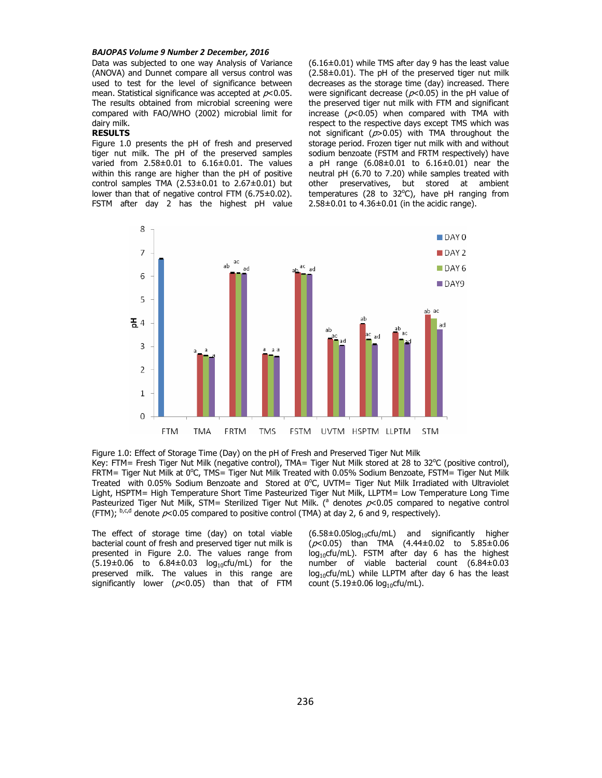Data was subjected to one way Analysis of Variance (ANOVA) and Dunnet compare all versus control was used to test for the level of significance between mean. Statistical significance was accepted at  $p<0.05$ . The results obtained from microbial screening were compared with FAO/WHO (2002) microbial limit for dairy milk.

### **RESULTS**

Figure 1.0 presents the pH of fresh and preserved tiger nut milk. The pH of the preserved samples varied from 2.58±0.01 to 6.16±0.01. The values within this range are higher than the pH of positive control samples TMA  $(2.53\pm0.01$  to  $2.67\pm0.01)$  but lower than that of negative control FTM (6.75±0.02). FSTM after day 2 has the highest pH value  $(6.16\pm0.01)$  while TMS after day 9 has the least value  $(2.58\pm0.01)$ . The pH of the preserved tiger nut milk decreases as the storage time (day) increased. There were significant decrease ( $p$ <0.05) in the pH value of the preserved tiger nut milk with FTM and significant increase ( $p<0.05$ ) when compared with TMA with respect to the respective days except TMS which was not significant ( $p > 0.05$ ) with TMA throughout the storage period. Frozen tiger nut milk with and without sodium benzoate (FSTM and FRTM respectively) have a pH range  $(6.08 \pm 0.01)$  to  $6.16 \pm 0.01$ ) near the neutral pH (6.70 to 7.20) while samples treated with other preservatives, but stored at ambient temperatures (28 to  $32^{\circ}$ C), have pH ranging from  $2.58\pm0.01$  to  $4.36\pm0.01$  (in the acidic range).



Figure 1.0: Effect of Storage Time (Day) on the pH of Fresh and Preserved Tiger Nut Milk Key: FTM= Fresh Tiger Nut Milk (negative control), TMA= Tiger Nut Milk stored at 28 to 32°C (positive control), FRTM= Tiger Nut Milk at 0°C, TMS= Tiger Nut Milk Treated with 0.05% Sodium Benzoate, FSTM= Tiger Nut Milk Treated with 0.05% Sodium Benzoate and Stored at 0°C, UVTM= Tiger Nut Milk Irradiated with Ultraviolet Light, HSPTM= High Temperature Short Time Pasteurized Tiger Nut Milk, LLPTM= Low Temperature Long Time Pasteurized Tiger Nut Milk, STM= Sterilized Tiger Nut Milk. (<sup>a</sup> denotes  $p$ <0.05 compared to negative control (FTM);  $b,c,d$  denote  $p<0.05$  compared to positive control (TMA) at day 2, 6 and 9, respectively).

The effect of storage time (day) on total viable bacterial count of fresh and preserved tiger nut milk is presented in Figure 2.0. The values range from  $(5.19 \pm 0.06$  to  $6.84 \pm 0.03$  log<sub>10</sub>cfu/mL) for the preserved milk. The values in this range are significantly lower ( $p<0.05$ ) than that of FTM  $(6.58\pm0.05\log_{10}$ cfu/mL) and significantly higher  $(p<0.05)$  than TMA  $(4.44\pm0.02)$  to  $5.85\pm0.06$  $log_{10}$ cfu/mL). FSTM after day 6 has the highest number of viable bacterial count (6.84±0.03  $log_{10}$ cfu/mL) while LLPTM after day 6 has the least count  $(5.19 \pm 0.06 \log_{10} c \text{fu/mL})$ .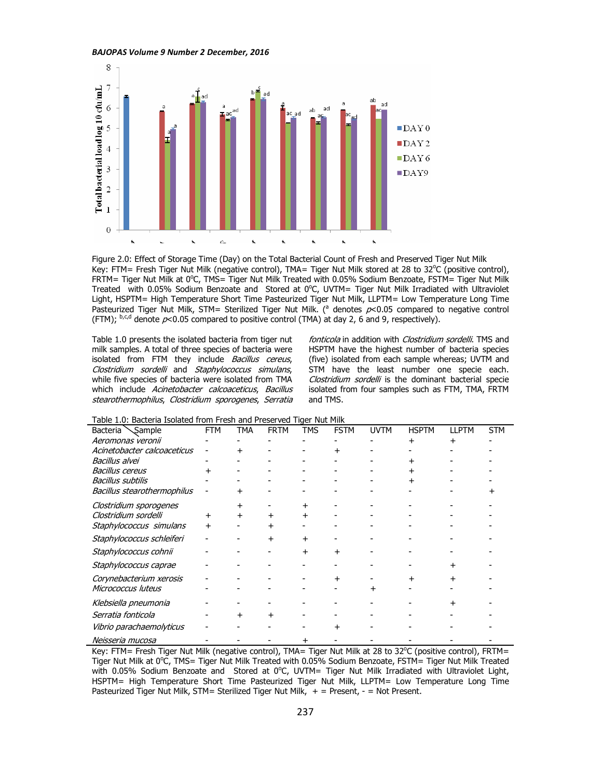

Figure 2.0: Effect of Storage Time (Day) on the Total Bacterial Count of Fresh and Preserved Tiger Nut Milk Key: FTM= Fresh Tiger Nut Milk (negative control), TMA= Tiger Nut Milk stored at 28 to 32°C (positive control), FRTM= Tiger Nut Milk at 0°C, TMS= Tiger Nut Milk Treated with 0.05% Sodium Benzoate, FSTM= Tiger Nut Milk Treated with 0.05% Sodium Benzoate and Stored at 0°C, UVTM= Tiger Nut Milk Irradiated with Ultraviolet Light, HSPTM= High Temperature Short Time Pasteurized Tiger Nut Milk, LLPTM= Low Temperature Long Time Pasteurized Tiger Nut Milk, STM= Sterilized Tiger Nut Milk. (<sup>a</sup> denotes  $p$ <0.05 compared to negative control (FTM);  $b, c, d$  denote  $p<0.05$  compared to positive control (TMA) at day 2, 6 and 9, respectively).

Table 1.0 presents the isolated bacteria from tiger nut milk samples. A total of three species of bacteria were isolated from FTM they include Bacillus cereus, Clostridium sordelli and Staphylococcus simulans, while five species of bacteria were isolated from TMA which include Acinetobacter calcoaceticus, Bacillus stearothermophilus, Clostridium sporogenes, Serratia

fonticola in addition with Clostridium sordelli. TMS and HSPTM have the highest number of bacteria species (five) isolated from each sample whereas; UVTM and STM have the least number one specie each. Clostridium sordelli is the dominant bacterial specie isolated from four samples such as FTM, TMA, FRTM and TMS.

| rabic 1.0. Dacteria Isolatea from Fresh and Frescrived Tiger Nut Plin |            |     |             |            |             |             |              |       |            |  |
|-----------------------------------------------------------------------|------------|-----|-------------|------------|-------------|-------------|--------------|-------|------------|--|
| Sample<br>Bacteria                                                    | <b>FTM</b> | TMA | <b>FRTM</b> | <b>TMS</b> | <b>FSTM</b> | <b>UVTM</b> | <b>HSPTM</b> | LLPTM | <b>STM</b> |  |
| Aeromonas veronii                                                     |            |     |             |            |             |             | +            | +     |            |  |
| Acinetobacter calcoaceticus                                           |            |     |             |            |             |             |              |       |            |  |
| Bacillus alvei                                                        |            |     |             |            |             |             |              |       |            |  |
| <b>Bacillus cereus</b>                                                | +          |     |             |            |             |             |              |       |            |  |
| <b>Bacillus subtilis</b>                                              |            |     |             |            |             |             |              |       |            |  |
| Bacillus stearothermophilus                                           |            |     |             |            |             |             |              |       |            |  |
| Clostridium sporogenes                                                |            |     |             |            |             |             |              |       |            |  |
| Clostridium sordelli                                                  | +          |     |             |            |             |             |              |       |            |  |
| Staphylococcus simulans                                               | +          |     | +           |            |             |             |              |       |            |  |
| Staphylococcus schleiferi                                             |            |     | $\ddot{}$   | +          |             |             |              |       |            |  |
| Staphylococcus cohnii                                                 |            |     |             | $\ddot{}$  |             |             |              |       |            |  |
| Staphylococcus caprae                                                 |            |     |             |            |             |             |              |       |            |  |
| Corynebacterium xerosis                                               |            |     |             |            |             |             |              |       |            |  |
| Micrococcus luteus                                                    |            |     |             |            |             |             |              |       |            |  |
| Klebsiella pneumonia                                                  |            |     |             |            |             |             |              |       |            |  |
| Serratia fonticola                                                    |            |     | +           |            |             |             |              |       |            |  |
| Vibrio parachaemolyticus                                              |            |     |             |            |             |             |              |       |            |  |
| Neisseria mucosa                                                      |            |     |             | +          |             |             |              |       |            |  |

Table 1.0: Bacteria Isolated from Fresh and Preserved Tiger Nut Milk

Key: FTM= Fresh Tiger Nut Milk (negative control), TMA= Tiger Nut Milk at 28 to 32°C (positive control), FRTM= Tiger Nut Milk at 0°C, TMS= Tiger Nut Milk Treated with 0.05% Sodium Benzoate, FSTM= Tiger Nut Milk Treated with 0.05% Sodium Benzoate and Stored at  $0^{\circ}$ C, UVTM= Tiger Nut Milk Irradiated with Ultraviolet Light, HSPTM= High Temperature Short Time Pasteurized Tiger Nut Milk, LLPTM= Low Temperature Long Time Pasteurized Tiger Nut Milk, STM= Sterilized Tiger Nut Milk,  $+$  = Present, - = Not Present.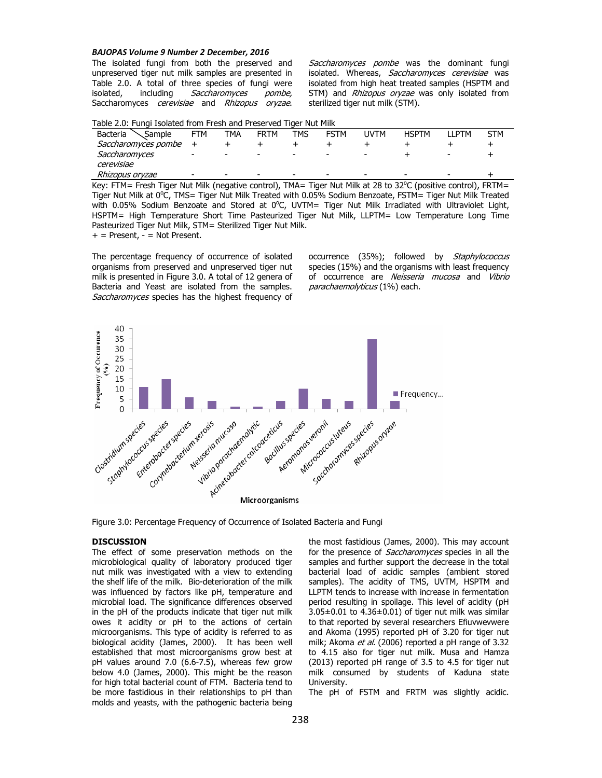The isolated fungi from both the preserved and unpreserved tiger nut milk samples are presented in Table 2.0. A total of three species of fungi were isolated, including Saccharomyces pombe, Saccharomyces cerevisiae and Rhizopus oryzae.

Saccharomyces pombe was the dominant fungi isolated. Whereas, Saccharomyces cerevisiae was isolated from high heat treated samples (HSPTM and STM) and Rhizopus oryzae was only isolated from sterilized tiger nut milk (STM).

| Table 2.0: Fungi Isolated from Fresh and Preserved Tiger Nut Milk |
|-------------------------------------------------------------------|
|-------------------------------------------------------------------|

| Bacteria<br>Sample  | <b>FTM</b> | TMA | <b>FRTM</b>              | TMS | <b>FSTM</b>              | <b>IJVTM</b>             | <b>HSPTM</b>             | <b>II PTM</b> | <b>STM</b> |
|---------------------|------------|-----|--------------------------|-----|--------------------------|--------------------------|--------------------------|---------------|------------|
| Saccharomyces pombe |            |     |                          |     |                          |                          |                          |               |            |
| Saccharomyces       | -          |     | $\overline{\phantom{a}}$ | -   | $\overline{\phantom{a}}$ | $\overline{\phantom{0}}$ |                          |               |            |
| cerevisiae          |            |     |                          |     |                          |                          |                          |               |            |
| Rhizopus oryzae     |            |     | $\overline{\phantom{a}}$ | -   | -                        | $\overline{\phantom{a}}$ | $\overline{\phantom{0}}$ | -             |            |

Key: FTM= Fresh Tiger Nut Milk (negative control), TMA= Tiger Nut Milk at 28 to 32°C (positive control), FRTM= Tiger Nut Milk at 0°C, TMS= Tiger Nut Milk Treated with 0.05% Sodium Benzoate, FSTM= Tiger Nut Milk Treated with 0.05% Sodium Benzoate and Stored at 0°C, UVTM= Tiger Nut Milk Irradiated with Ultraviolet Light, HSPTM= High Temperature Short Time Pasteurized Tiger Nut Milk, LLPTM= Low Temperature Long Time Pasteurized Tiger Nut Milk, STM= Sterilized Tiger Nut Milk.

 $+$  = Present,  $-$  = Not Present.

The percentage frequency of occurrence of isolated organisms from preserved and unpreserved tiger nut milk is presented in Figure 3.0. A total of 12 genera of Bacteria and Yeast are isolated from the samples. Saccharomyces species has the highest frequency of occurrence (35%); followed by Staphylococcus species (15%) and the organisms with least frequency of occurrence are Neisseria mucosa and Vibrio parachaemolyticus (1%) each.



Figure 3.0: Percentage Frequency of Occurrence of Isolated Bacteria and Fungi

# **DISCUSSION**

The effect of some preservation methods on the microbiological quality of laboratory produced tiger nut milk was investigated with a view to extending the shelf life of the milk. Bio-deterioration of the milk was influenced by factors like pH, temperature and microbial load. The significance differences observed in the pH of the products indicate that tiger nut milk owes it acidity or pH to the actions of certain microorganisms. This type of acidity is referred to as biological acidity (James, 2000). It has been well established that most microorganisms grow best at pH values around 7.0 (6.6-7.5), whereas few grow below 4.0 (James, 2000). This might be the reason for high total bacterial count of FTM. Bacteria tend to be more fastidious in their relationships to pH than molds and yeasts, with the pathogenic bacteria being

the most fastidious (James, 2000). This may account for the presence of Saccharomyces species in all the samples and further support the decrease in the total bacterial load of acidic samples (ambient stored samples). The acidity of TMS, UVTM, HSPTM and LLPTM tends to increase with increase in fermentation period resulting in spoilage. This level of acidity (pH 3.05±0.01 to 4.36±0.01) of tiger nut milk was similar to that reported by several researchers Efiuvwevwere and Akoma (1995) reported pH of 3.20 for tiger nut milk; Akoma et al. (2006) reported a pH range of 3.32 to 4.15 also for tiger nut milk. Musa and Hamza (2013) reported pH range of 3.5 to 4.5 for tiger nut milk consumed by students of Kaduna state University.

The pH of FSTM and FRTM was slightly acidic.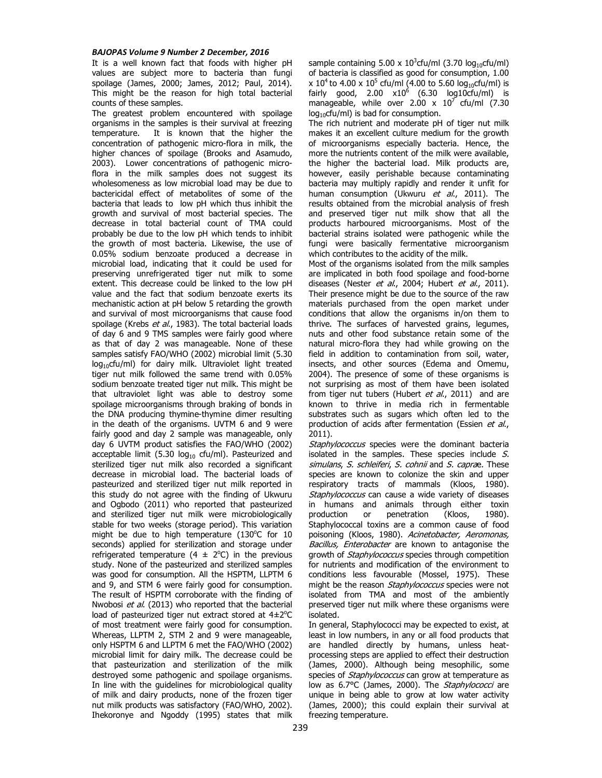It is a well known fact that foods with higher pH values are subject more to bacteria than fungi spoilage (James, 2000; James, 2012; Paul, 2014). This might be the reason for high total bacterial counts of these samples.

The greatest problem encountered with spoilage organisms in the samples is their survival at freezing temperature. It is known that the higher the concentration of pathogenic micro-flora in milk, the higher chances of spoilage (Brooks and Asamudo, 2003). Lower concentrations of pathogenic microflora in the milk samples does not suggest its wholesomeness as low microbial load may be due to bactericidal effect of metabolites of some of the bacteria that leads to low pH which thus inhibit the growth and survival of most bacterial species. The decrease in total bacterial count of TMA could probably be due to the low pH which tends to inhibit the growth of most bacteria. Likewise, the use of 0.05% sodium benzoate produced a decrease in microbial load, indicating that it could be used for preserving unrefrigerated tiger nut milk to some extent. This decrease could be linked to the low pH value and the fact that sodium benzoate exerts its mechanistic action at pH below 5 retarding the growth and survival of most microorganisms that cause food spoilage (Krebs et al., 1983). The total bacterial loads of day 6 and 9 TMS samples were fairly good where as that of day 2 was manageable. None of these samples satisfy FAO/WHO (2002) microbial limit (5.30  $log_{10}$ cfu/ml) for dairy milk. Ultraviolet light treated tiger nut milk followed the same trend with 0.05% sodium benzoate treated tiger nut milk. This might be that ultraviolet light was able to destroy some spoilage microorganisms through braking of bonds in the DNA producing thymine-thymine dimer resulting in the death of the organisms. UVTM 6 and 9 were fairly good and day 2 sample was manageable, only day 6 UVTM product satisfies the FAO/WHO (2002) acceptable limit (5.30  $log_{10}$  cfu/ml). Pasteurized and sterilized tiger nut milk also recorded a significant decrease in microbial load. The bacterial loads of pasteurized and sterilized tiger nut milk reported in this study do not agree with the finding of Ukwuru and Ogbodo (2011) who reported that pasteurized and sterilized tiger nut milk were microbiologically stable for two weeks (storage period). This variation might be due to high temperature  $(130^{\circ}C$  for 10 seconds) applied for sterilization and storage under refrigerated temperature (4  $\pm$  2°C) in the previous study. None of the pasteurized and sterilized samples was good for consumption. All the HSPTM, LLPTM 6 and 9, and STM 6 were fairly good for consumption. The result of HSPTM corroborate with the finding of Nwobosi et al. (2013) who reported that the bacterial load of pasteurized tiger nut extract stored at  $4\pm2^{\circ}C$ of most treatment were fairly good for consumption. Whereas, LLPTM 2, STM 2 and 9 were manageable, only HSPTM 6 and LLPTM 6 met the FAO/WHO (2002) microbial limit for dairy milk. The decrease could be that pasteurization and sterilization of the milk destroyed some pathogenic and spoilage organisms. In line with the guidelines for microbiological quality of milk and dairy products, none of the frozen tiger nut milk products was satisfactory (FAO/WHO, 2002). Ihekoronye and Ngoddy (1995) states that milk

sample containing  $5.00 \times 10^3$ cfu/ml (3.70 log<sub>10</sub>cfu/ml) of bacteria is classified as good for consumption, 1.00 x 10<sup>4</sup> to 4.00 x 10<sup>5</sup> cfu/ml (4.00 to 5.60 log $_{10}$ cfu/ml) is fairly good, 2.00  $\times10^6$  (6.30 log10cfu/ml) is manageable, while over 2.00  $\times$  10<sup>7</sup> cfu/ml (7.30  $log_{10}$ cfu/ml) is bad for consumption.

The rich nutrient and moderate pH of tiger nut milk makes it an excellent culture medium for the growth of microorganisms especially bacteria. Hence, the more the nutrients content of the milk were available, the higher the bacterial load. Milk products are, however, easily perishable because contaminating bacteria may multiply rapidly and render it unfit for human consumption (Ukwuru et al., 2011). The results obtained from the microbial analysis of fresh and preserved tiger nut milk show that all the products harboured microorganisms. Most of the bacterial strains isolated were pathogenic while the fungi were basically fermentative microorganism which contributes to the acidity of the milk.

Most of the organisms isolated from the milk samples are implicated in both food spoilage and food-borne diseases (Nester et al., 2004; Hubert et al., 2011). Their presence might be due to the source of the raw materials purchased from the open market under conditions that allow the organisms in/on them to thrive. The surfaces of harvested grains, legumes, nuts and other food substance retain some of the natural micro-flora they had while growing on the field in addition to contamination from soil, water, insects, and other sources (Edema and Omemu, 2004). The presence of some of these organisms is not surprising as most of them have been isolated from tiger nut tubers (Hubert et al., 2011) and are known to thrive in media rich in fermentable substrates such as sugars which often led to the production of acids after fermentation (Essien et al., 2011).

Staphylococcus species were the dominant bacteria isolated in the samples. These species include  $S$ . simulans, S. schleiferi, S. cohnii and S. caprae. These species are known to colonize the skin and upper respiratory tracts of mammals (Kloos, 1980). Staphylococcus can cause a wide variety of diseases in humans and animals through either toxin<br>production or penetration (Kloos, 1980). penetration (Kloos, 1980). Staphylococcal toxins are a common cause of food poisoning (Kloos, 1980). Acinetobacter, Aeromonas, Bacillus, Enterobacter are known to antagonise the growth of *Staphylococcus* species through competition for nutrients and modification of the environment to conditions less favourable (Mossel, 1975). These might be the reason Staphylococcus species were not isolated from TMA and most of the ambiently preserved tiger nut milk where these organisms were isolated.

In general, Staphylococci may be expected to exist, at least in low numbers, in any or all food products that are handled directly by humans, unless heatprocessing steps are applied to effect their destruction (James, 2000). Although being mesophilic, some species of *Staphylococcus* can grow at temperature as low as 6.7°C (James, 2000). The Staphylococci are unique in being able to grow at low water activity (James, 2000); this could explain their survival at freezing temperature.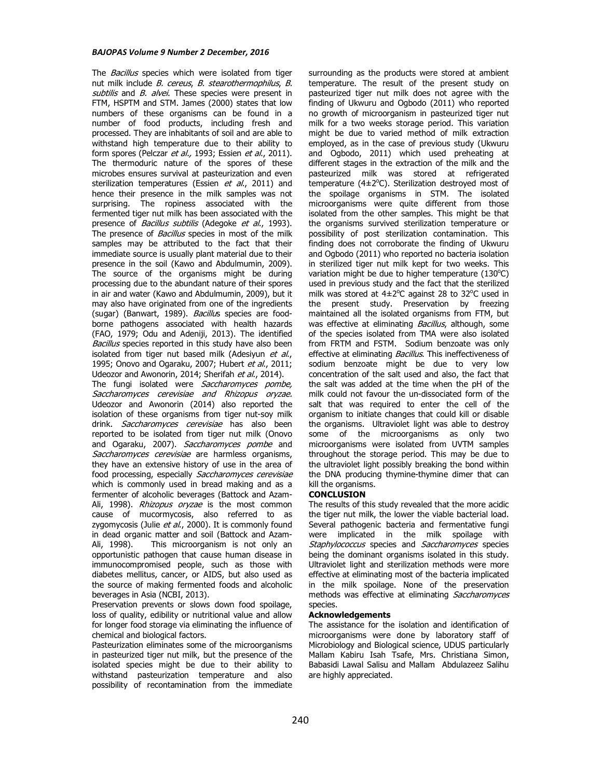The *Bacillus* species which were isolated from tiger nut milk include *B. cereus. B. stearothermophilus, B.* subtilis and B. alvei. These species were present in FTM, HSPTM and STM. James (2000) states that low numbers of these organisms can be found in a number of food products, including fresh and processed. They are inhabitants of soil and are able to withstand high temperature due to their ability to form spores (Pelczar et al., 1993; Essien et al., 2011). The thermoduric nature of the spores of these microbes ensures survival at pasteurization and even sterilization temperatures (Essien et al., 2011) and hence their presence in the milk samples was not surprising. The ropiness associated with the fermented tiger nut milk has been associated with the presence of *Bacillus subtilis* (Adegoke *et al.*, 1993). The presence of *Bacillus* species in most of the milk samples may be attributed to the fact that their immediate source is usually plant material due to their presence in the soil (Kawo and Abdulmumin, 2009). The source of the organisms might be during processing due to the abundant nature of their spores in air and water (Kawo and Abdulmumin, 2009), but it may also have originated from one of the ingredients (sugar) (Banwart, 1989). Bacillus species are foodborne pathogens associated with health hazards (FAO, 1979; Odu and Adeniji, 2013). The identified Bacillus species reported in this study have also been isolated from tiger nut based milk (Adesiyun et al., 1995; Onovo and Ogaraku, 2007; Hubert et al., 2011; Udeozor and Awonorin, 2014; Sherifah et al., 2014). The fungi isolated were Saccharomyces pombe,

Saccharomyces cerevisiae and Rhizopus oryzae. Udeozor and Awonorin (2014) also reported the isolation of these organisms from tiger nut-soy milk drink. Saccharomyces cerevisiae has also been reported to be isolated from tiger nut milk (Onovo and Ogaraku, 2007). Saccharomyces pombe and Saccharomyces cerevisiae are harmless organisms, they have an extensive history of use in the area of food processing, especially Saccharomyces cerevisiae which is commonly used in bread making and as a fermenter of alcoholic beverages (Battock and Azam-Ali, 1998). Rhizopus oryzae is the most common cause of mucormycosis, also referred to as zygomycosis (Julie et al., 2000). It is commonly found in dead organic matter and soil (Battock and Azam-Ali, 1998). This microorganism is not only an opportunistic pathogen that cause human disease in immunocompromised people, such as those with diabetes mellitus, cancer, or AIDS, but also used as the source of making fermented foods and alcoholic beverages in Asia (NCBI, 2013).

Preservation prevents or slows down food spoilage, loss of quality, edibility or nutritional value and allow for longer food storage via eliminating the influence of chemical and biological factors.

Pasteurization eliminates some of the microorganisms in pasteurized tiger nut milk, but the presence of the isolated species might be due to their ability to withstand pasteurization temperature and also possibility of recontamination from the immediate

surrounding as the products were stored at ambient temperature. The result of the present study on pasteurized tiger nut milk does not agree with the finding of Ukwuru and Ogbodo (2011) who reported no growth of microorganism in pasteurized tiger nut milk for a two weeks storage period. This variation might be due to varied method of milk extraction employed, as in the case of previous study (Ukwuru and Ogbodo, 2011) which used preheating at different stages in the extraction of the milk and the pasteurized milk was stored at refrigerated temperature ( $4\pm2^{\circ}$ C). Sterilization destroyed most of the spoilage organisms in STM. The isolated microorganisms were quite different from those isolated from the other samples. This might be that the organisms survived sterilization temperature or possibility of post sterilization contamination. This finding does not corroborate the finding of Ukwuru and Ogbodo (2011) who reported no bacteria isolation in sterilized tiger nut milk kept for two weeks. This variation might be due to higher temperature  $(130^{\circ}C)$ used in previous study and the fact that the sterilized milk was stored at  $4\pm2^{\circ}$ C against 28 to 32 $^{\circ}$ C used in the present study. Preservation by freezing maintained all the isolated organisms from FTM, but was effective at eliminating Bacillus, although, some of the species isolated from TMA were also isolated from FRTM and FSTM. Sodium benzoate was only effective at eliminating Bacillus. This ineffectiveness of sodium benzoate might be due to very low concentration of the salt used and also, the fact that the salt was added at the time when the pH of the milk could not favour the un-dissociated form of the salt that was required to enter the cell of the organism to initiate changes that could kill or disable the organisms. Ultraviolet light was able to destroy some of the microorganisms as only two microorganisms were isolated from UVTM samples throughout the storage period. This may be due to the ultraviolet light possibly breaking the bond within the DNA producing thymine-thymine dimer that can kill the organisms.

## **CONCLUSION**

The results of this study revealed that the more acidic the tiger nut milk, the lower the viable bacterial load. Several pathogenic bacteria and fermentative fungi were implicated in the milk spoilage with Staphylococcus species and Saccharomyces species being the dominant organisms isolated in this study. Ultraviolet light and sterilization methods were more effective at eliminating most of the bacteria implicated in the milk spoilage. None of the preservation methods was effective at eliminating Saccharomyces species.

#### **Acknowledgements**

The assistance for the isolation and identification of microorganisms were done by laboratory staff of Microbiology and Biological science, UDUS particularly Mallam Kabiru Isah Tsafe, Mrs. Christiana Simon, Babasidi Lawal Salisu and Mallam Abdulazeez Salihu are highly appreciated.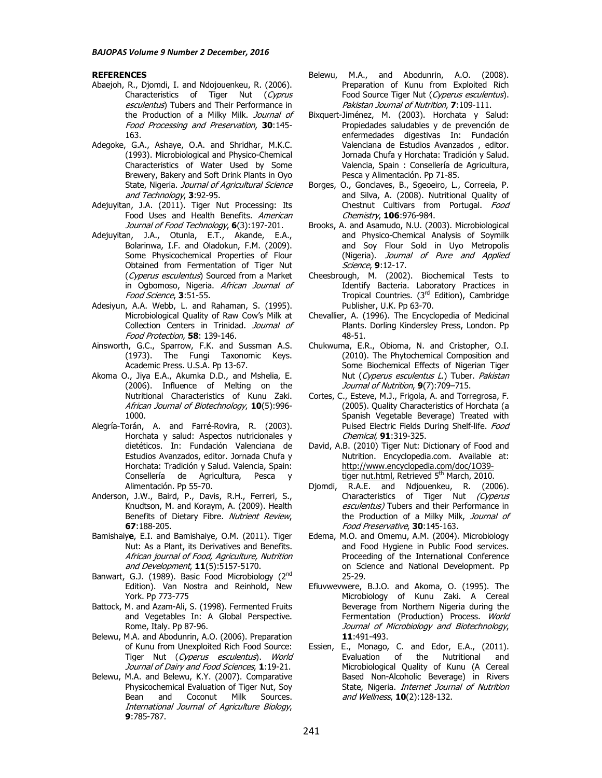### **REFERENCES**

- Abaejoh, R., Djomdi, I. and Ndojouenkeu, R. (2006). Characteristics of Tiger Nut (Cyprus esculentus) Tubers and Their Performance in the Production of a Milky Milk. Journal of Food Processing and Preservation, **30**:145- 163.
- Adegoke, G.A., Ashaye, O.A. and Shridhar, M.K.C. (1993). Microbiological and Physico-Chemical Characteristics of Water Used by Some Brewery, Bakery and Soft Drink Plants in Oyo State, Nigeria. Journal of Agricultural Science and Technology, **3**:92-95.
- Adejuyitan, J.A. (2011). Tiger Nut Processing: Its Food Uses and Health Benefits. American Journal of Food Technology, **6**(3):197-201.
- Adejuyitan, J.A., Otunla, E.T., Akande, E.A., Bolarinwa, I.F. and Oladokun, F.M. (2009). Some Physicochemical Properties of Flour Obtained from Fermentation of Tiger Nut (Cyperus esculentus) Sourced from a Market in Ogbomoso, Nigeria. African Journal of Food Science, **3**:51-55.
- Adesiyun, A.A. Webb, L. and Rahaman, S. (1995). Microbiological Quality of Raw Cow's Milk at Collection Centers in Trinidad. Journal of Food Protection, **58**: 139-146.
- Ainsworth, G.C., Sparrow, F.K. and Sussman A.S. (1973). The Fungi Taxonomic Keys. Academic Press. U.S.A. Pp 13-67.
- Akoma O., Jiya E.A., Akumka D.D., and Mshelia, E. (2006). Influence of Melting on the Nutritional Characteristics of Kunu Zaki. African Journal of Biotechnology, **10**(5):996- 1000.
- Alegría-Torán, A. and Farré-Rovira, R. (2003). Horchata y salud: Aspectos nutricionales y dietéticos. In: Fundación Valenciana de Estudios Avanzados, editor. Jornada Chufa y Horchata: Tradición y Salud. Valencia, Spain: Consellería de Agricultura, Pesca y Alimentación. Pp 55-70.
- Anderson, J.W., Baird, P., Davis, R.H., Ferreri, S., Knudtson, M. and Koraym, A. (2009). Health Benefits of Dietary Fibre. Nutrient Review, **67**:188-205.
- Bamishaiy**e**, E.I. and Bamishaiye, O.M. (2011). Tiger Nut: As a Plant, its Derivatives and Benefits. African journal of Food, Agriculture, Nutrition and Development, **11**(5):5157-5170.
- Banwart, G.J. (1989). Basic Food Microbiology (2<sup>nd</sup> Edition). Van Nostra and Reinhold, New York. Pp 773-775
- Battock, M. and Azam-Ali, S. (1998). Fermented Fruits and Vegetables In: A Global Perspective. Rome, Italy. Pp 87-96.
- Belewu, M.A. and Abodunrin, A.O. (2006). Preparation of Kunu from Unexploited Rich Food Source: Tiger Nut (Cyperus esculentus). World Journal of Dairy and Food Sciences, **1**:19-21.
- Belewu, M.A. and Belewu, K.Y. (2007). Comparative Physicochemical Evaluation of Tiger Nut, Soy Bean and Coconut Milk Sources. International Journal of Agriculture Biology, **9**:785-787.
- Belewu, M.A., and Abodunrin, A.O. (2008). Preparation of Kunu from Exploited Rich Food Source Tiger Nut (Cyperus esculentus). Pakistan Journal of Nutrition, **7**:109-111.
- Bixquert-Jiménez, M. (2003). Horchata y Salud: Propiedades saludables y de prevención de enfermedades digestivas In: Fundación Valenciana de Estudios Avanzados , editor. Jornada Chufa y Horchata: Tradición y Salud. Valencia, Spain : Consellería de Agricultura, Pesca y Alimentación. Pp 71-85.
- Borges, O., Gonclaves, B., Sgeoeiro, L., Correeia, P. and Silva, A. (2008). Nutritional Quality of Chestnut Cultivars from Portugal. Food Chemistry, **106**:976-984.
- Brooks, A. and Asamudo, N.U. (2003). Microbiological and Physico-Chemical Analysis of Soymilk and Soy Flour Sold in Uyo Metropolis (Nigeria). Journal of Pure and Applied Science, **9**:12-17.
- Cheesbrough, M. (2002). Biochemical Tests to Identify Bacteria. Laboratory Practices in Tropical Countries. (3<sup>rd</sup> Edition), Cambridge Publisher, U.K. Pp 63-70.
- Chevallier, A. (1996). The Encyclopedia of Medicinal Plants. Dorling Kindersley Press, London. Pp 48-51.
- Chukwuma, E.R., Obioma, N. and Cristopher, O.I. (2010). The Phytochemical Composition and Some Biochemical Effects of Nigerian Tiger Nut (Cyperus esculentus L.) Tuber. Pakistan Journal of Nutrition, **9**(7):709–715.
- Cortes, C., Esteve, M.J., Frigola, A. and Torregrosa, F. (2005). Quality Characteristics of Horchata (a Spanish Vegetable Beverage) Treated with Pulsed Electric Fields During Shelf-life. Food Chemical, **91**:319-325.
- David, A.B. (2010) Tiger Nut: Dictionary of Food and Nutrition. Encyclopedia.com. Available at: http://www.encyclopedia.com/doc/1O39 tiger nut.html, Retrieved 5<sup>th</sup> March, 2010.
- Djomdi, R.A.E. and Ndjouenkeu, R. (2006). Characteristics of Tiger Nut (Cyperus esculentus) Tubers and their Performance in the Production of a Milky Milk, Journal of Food Preservative, **30**:145-163.
- Edema, M.O. and Omemu, A.M. (2004). Microbiology and Food Hygiene in Public Food services. Proceeding of the International Conference on Science and National Development. Pp 25-29.
- Efiuvwevwere, B.J.O. and Akoma, O. (1995). The Microbiology of Kunu Zaki. A Cereal Beverage from Northern Nigeria during the Fermentation (Production) Process. World Journal of Microbiology and Biotechnology, **11**:491-493.
- Essien, E., Monago, C. and Edor, E.A., (2011).<br>Evaluation of the Nutritional and Evaluation of the Nutritional and Microbiological Quality of Kunu (A Cereal Based Non-Alcoholic Beverage) in Rivers State, Nigeria. Internet Journal of Nutrition and Wellness, **10**(2):128-132.